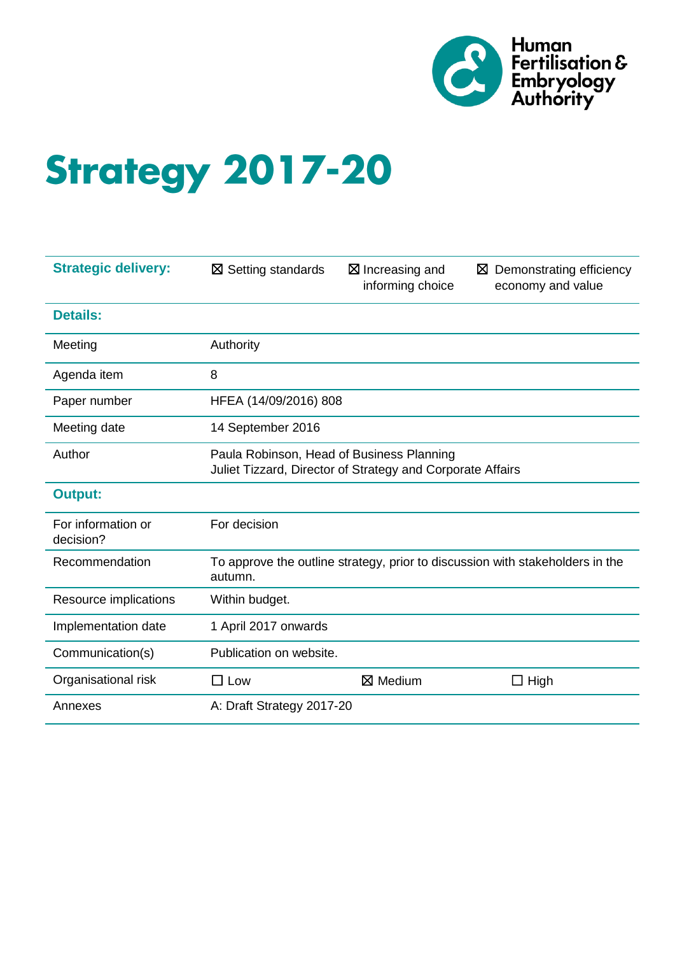

# **Strategy 2017-20**

| <b>Strategic delivery:</b>      | $\boxtimes$ Setting standards                                                                           | $\boxtimes$ Increasing and<br>informing choice | $\boxtimes$ Demonstrating efficiency<br>economy and value                     |
|---------------------------------|---------------------------------------------------------------------------------------------------------|------------------------------------------------|-------------------------------------------------------------------------------|
| <b>Details:</b>                 |                                                                                                         |                                                |                                                                               |
| Meeting                         | Authority                                                                                               |                                                |                                                                               |
| Agenda item                     | 8                                                                                                       |                                                |                                                                               |
| Paper number                    | HFEA (14/09/2016) 808                                                                                   |                                                |                                                                               |
| Meeting date                    | 14 September 2016                                                                                       |                                                |                                                                               |
| Author                          | Paula Robinson, Head of Business Planning<br>Juliet Tizzard, Director of Strategy and Corporate Affairs |                                                |                                                                               |
| <b>Output:</b>                  |                                                                                                         |                                                |                                                                               |
| For information or<br>decision? | For decision                                                                                            |                                                |                                                                               |
| Recommendation                  | autumn.                                                                                                 |                                                | To approve the outline strategy, prior to discussion with stakeholders in the |
| Resource implications           | Within budget.                                                                                          |                                                |                                                                               |
| Implementation date             | 1 April 2017 onwards                                                                                    |                                                |                                                                               |
| Communication(s)                | Publication on website.                                                                                 |                                                |                                                                               |
| Organisational risk             | $\square$ Low                                                                                           | $\boxtimes$ Medium                             | $\Box$ High                                                                   |
| Annexes                         | A: Draft Strategy 2017-20                                                                               |                                                |                                                                               |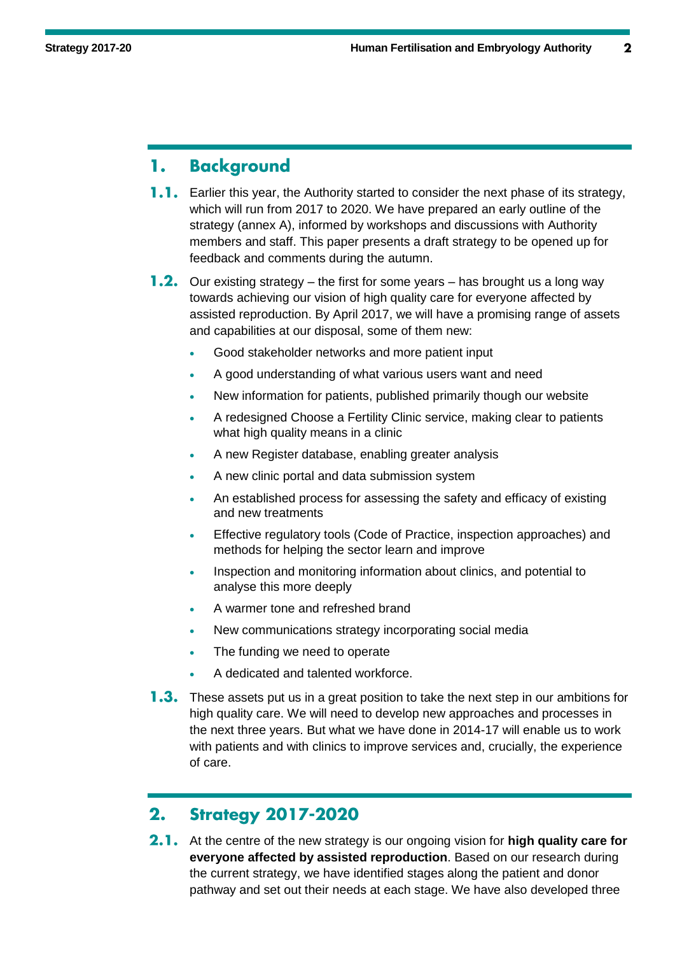#### **Background** 1.

- **1.1.** Earlier this year, the Authority started to consider the next phase of its strategy, which will run from 2017 to 2020. We have prepared an early outline of the strategy (annex A), informed by workshops and discussions with Authority members and staff. This paper presents a draft strategy to be opened up for feedback and comments during the autumn.
- **1.2.** Our existing strategy the first for some years has brought us a long way towards achieving our vision of high quality care for everyone affected by assisted reproduction. By April 2017, we will have a promising range of assets and capabilities at our disposal, some of them new:
	- Good stakeholder networks and more patient input
	- A good understanding of what various users want and need
	- New information for patients, published primarily though our website
	- A redesigned Choose a Fertility Clinic service, making clear to patients what high quality means in a clinic
	- A new Register database, enabling greater analysis
	- A new clinic portal and data submission system
	- An established process for assessing the safety and efficacy of existing and new treatments
	- Effective regulatory tools (Code of Practice, inspection approaches) and methods for helping the sector learn and improve
	- Inspection and monitoring information about clinics, and potential to analyse this more deeply
	- A warmer tone and refreshed brand
	- New communications strategy incorporating social media
	- The funding we need to operate
	- A dedicated and talented workforce.
- **1.3.** These assets put us in a great position to take the next step in our ambitions for high quality care. We will need to develop new approaches and processes in the next three years. But what we have done in 2014-17 will enable us to work with patients and with clinics to improve services and, crucially, the experience of care.

#### $2.$ **Strategy 2017-2020**

2.1. At the centre of the new strategy is our ongoing vision for **high quality care for everyone affected by assisted reproduction**. Based on our research during the current strategy, we have identified stages along the patient and donor pathway and set out their needs at each stage. We have also developed three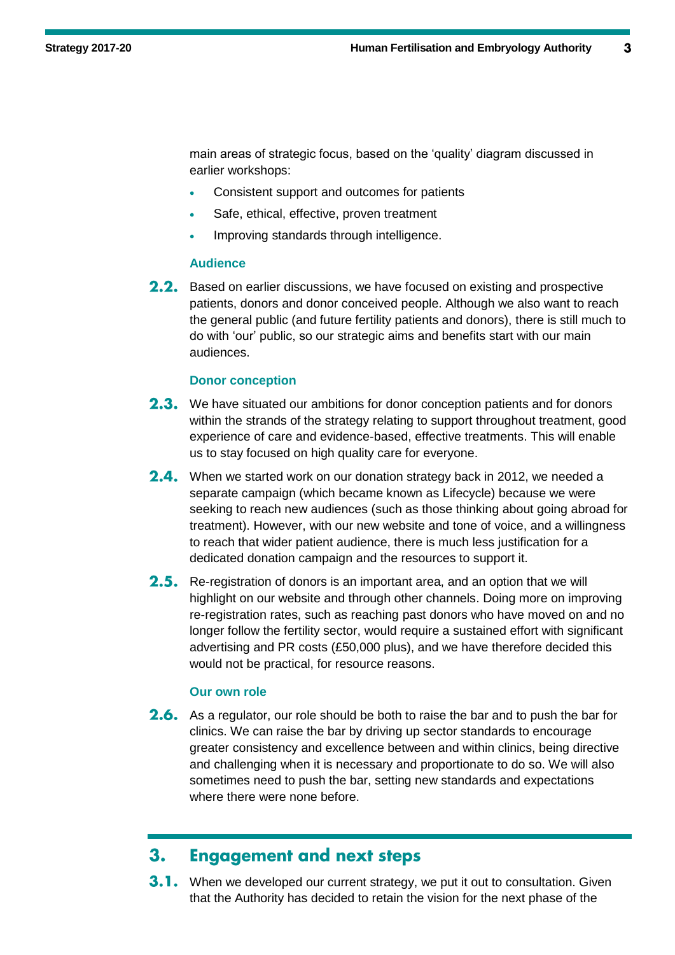main areas of strategic focus, based on the 'quality' diagram discussed in earlier workshops:

- Consistent support and outcomes for patients
- Safe, ethical, effective, proven treatment
- **Improving standards through intelligence.**

#### **Audience**

2.2. Based on earlier discussions, we have focused on existing and prospective patients, donors and donor conceived people. Although we also want to reach the general public (and future fertility patients and donors), there is still much to do with 'our' public, so our strategic aims and benefits start with our main audiences.

#### **Donor conception**

- 2.3. We have situated our ambitions for donor conception patients and for donors within the strands of the strategy relating to support throughout treatment, good experience of care and evidence-based, effective treatments. This will enable us to stay focused on high quality care for everyone.
- 2.4. When we started work on our donation strategy back in 2012, we needed a separate campaign (which became known as Lifecycle) because we were seeking to reach new audiences (such as those thinking about going abroad for treatment). However, with our new website and tone of voice, and a willingness to reach that wider patient audience, there is much less justification for a dedicated donation campaign and the resources to support it.
- 2.5. Re-registration of donors is an important area, and an option that we will highlight on our website and through other channels. Doing more on improving re-registration rates, such as reaching past donors who have moved on and no longer follow the fertility sector, would require a sustained effort with significant advertising and PR costs (£50,000 plus), and we have therefore decided this would not be practical, for resource reasons.

#### **Our own role**

2.6. As a regulator, our role should be both to raise the bar and to push the bar for clinics. We can raise the bar by driving up sector standards to encourage greater consistency and excellence between and within clinics, being directive and challenging when it is necessary and proportionate to do so. We will also sometimes need to push the bar, setting new standards and expectations where there were none before.

#### **Engagement and next steps**  $3.$

**3.1.** When we developed our current strategy, we put it out to consultation. Given that the Authority has decided to retain the vision for the next phase of the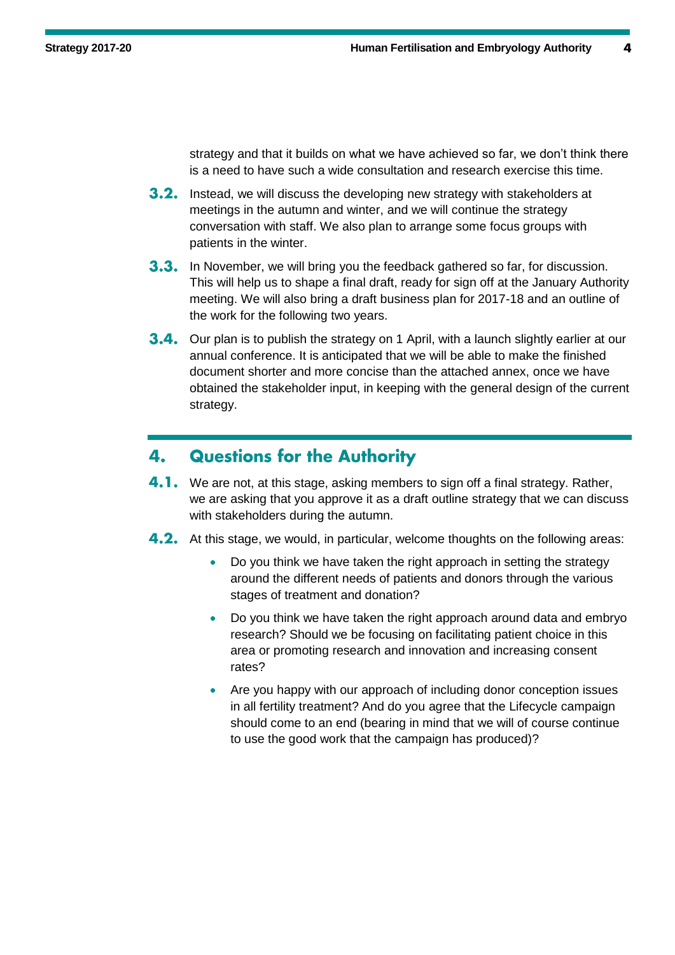strategy and that it builds on what we have achieved so far, we don't think there is a need to have such a wide consultation and research exercise this time.

- **3.2.** Instead, we will discuss the developing new strategy with stakeholders at meetings in the autumn and winter, and we will continue the strategy conversation with staff. We also plan to arrange some focus groups with patients in the winter.
- **3.3.** In November, we will bring you the feedback gathered so far, for discussion. This will help us to shape a final draft, ready for sign off at the January Authority meeting. We will also bring a draft business plan for 2017-18 and an outline of the work for the following two years.
- **3.4.** Our plan is to publish the strategy on 1 April, with a launch slightly earlier at our annual conference. It is anticipated that we will be able to make the finished document shorter and more concise than the attached annex, once we have obtained the stakeholder input, in keeping with the general design of the current strategy.

#### **Questions for the Authority** 4.

- 4.1. We are not, at this stage, asking members to sign off a final strategy. Rather, we are asking that you approve it as a draft outline strategy that we can discuss with stakeholders during the autumn.
- **4.2.** At this stage, we would, in particular, welcome thoughts on the following areas:
	- Do you think we have taken the right approach in setting the strategy around the different needs of patients and donors through the various stages of treatment and donation?
	- Do you think we have taken the right approach around data and embryo research? Should we be focusing on facilitating patient choice in this area or promoting research and innovation and increasing consent rates?
	- Are you happy with our approach of including donor conception issues in all fertility treatment? And do you agree that the Lifecycle campaign should come to an end (bearing in mind that we will of course continue to use the good work that the campaign has produced)?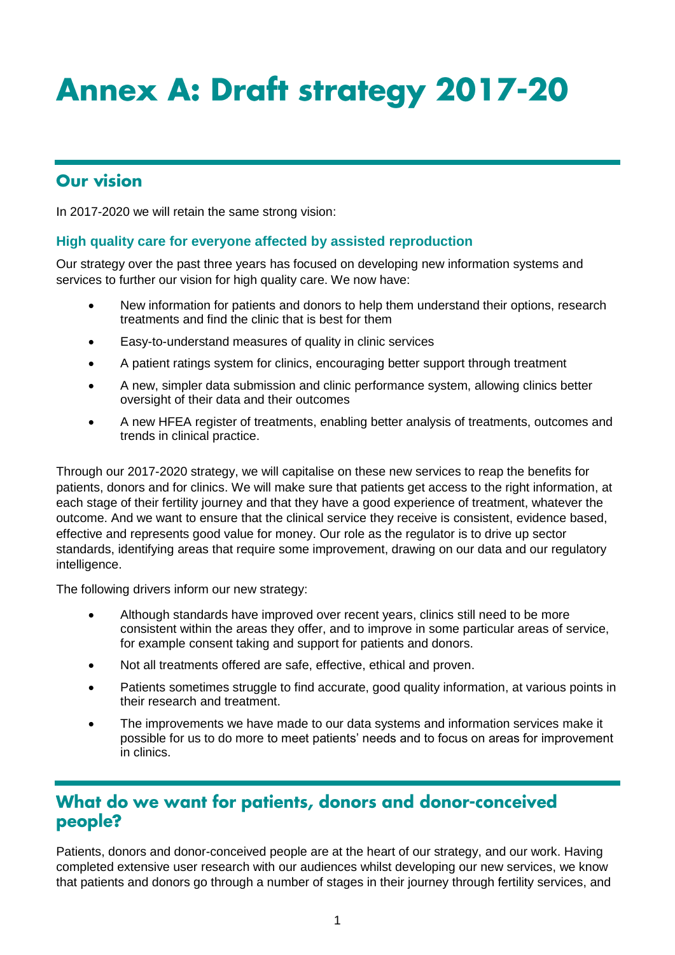# **Annex A: Draft strategy 2017-20**

## **Our vision**

In 2017-2020 we will retain the same strong vision:

#### **High quality care for everyone affected by assisted reproduction**

Our strategy over the past three years has focused on developing new information systems and services to further our vision for high quality care. We now have:

- New information for patients and donors to help them understand their options, research treatments and find the clinic that is best for them
- Easy-to-understand measures of quality in clinic services
- A patient ratings system for clinics, encouraging better support through treatment
- A new, simpler data submission and clinic performance system, allowing clinics better oversight of their data and their outcomes
- A new HFEA register of treatments, enabling better analysis of treatments, outcomes and trends in clinical practice.

Through our 2017-2020 strategy, we will capitalise on these new services to reap the benefits for patients, donors and for clinics. We will make sure that patients get access to the right information, at each stage of their fertility journey and that they have a good experience of treatment, whatever the outcome. And we want to ensure that the clinical service they receive is consistent, evidence based, effective and represents good value for money. Our role as the regulator is to drive up sector standards, identifying areas that require some improvement, drawing on our data and our regulatory intelligence.

The following drivers inform our new strategy:

- Although standards have improved over recent years, clinics still need to be more consistent within the areas they offer, and to improve in some particular areas of service, for example consent taking and support for patients and donors.
- Not all treatments offered are safe, effective, ethical and proven.
- Patients sometimes struggle to find accurate, good quality information, at various points in their research and treatment.
- The improvements we have made to our data systems and information services make it possible for us to do more to meet patients' needs and to focus on areas for improvement in clinics.

## What do we want for patients, donors and donor-conceived people?

Patients, donors and donor-conceived people are at the heart of our strategy, and our work. Having completed extensive user research with our audiences whilst developing our new services, we know that patients and donors go through a number of stages in their journey through fertility services, and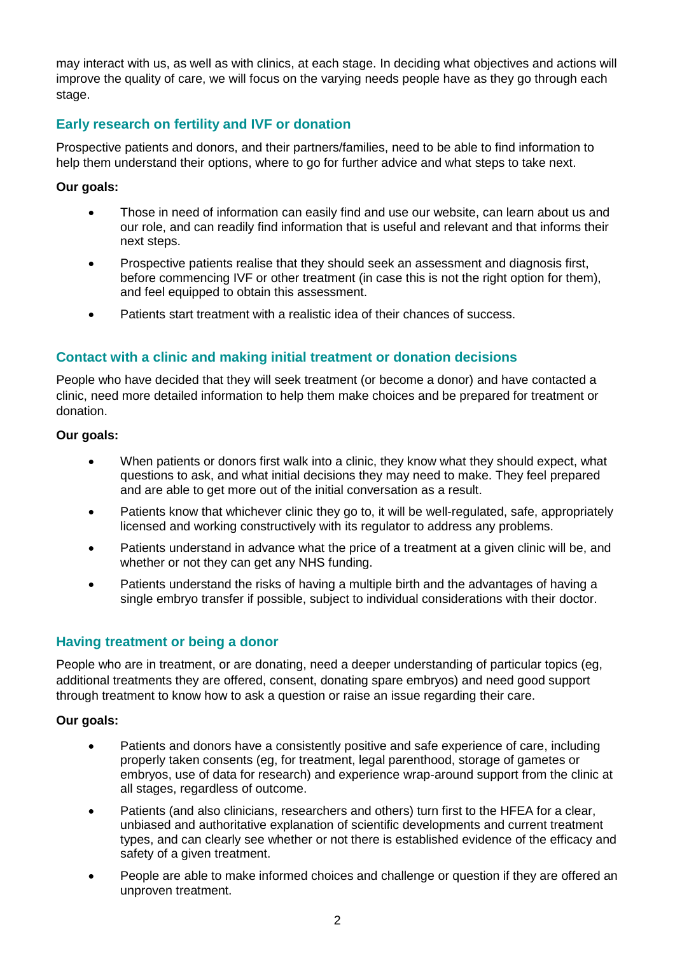may interact with us, as well as with clinics, at each stage. In deciding what objectives and actions will improve the quality of care, we will focus on the varying needs people have as they go through each stage.

## **Early research on fertility and IVF or donation**

Prospective patients and donors, and their partners/families, need to be able to find information to help them understand their options, where to go for further advice and what steps to take next.

#### **Our goals:**

- Those in need of information can easily find and use our website, can learn about us and our role, and can readily find information that is useful and relevant and that informs their next steps.
- Prospective patients realise that they should seek an assessment and diagnosis first, before commencing IVF or other treatment (in case this is not the right option for them), and feel equipped to obtain this assessment.
- Patients start treatment with a realistic idea of their chances of success.

## **Contact with a clinic and making initial treatment or donation decisions**

People who have decided that they will seek treatment (or become a donor) and have contacted a clinic, need more detailed information to help them make choices and be prepared for treatment or donation.

#### **Our goals:**

- When patients or donors first walk into a clinic, they know what they should expect, what questions to ask, and what initial decisions they may need to make. They feel prepared and are able to get more out of the initial conversation as a result.
- Patients know that whichever clinic they go to, it will be well-regulated, safe, appropriately licensed and working constructively with its regulator to address any problems.
- Patients understand in advance what the price of a treatment at a given clinic will be, and whether or not they can get any NHS funding.
- Patients understand the risks of having a multiple birth and the advantages of having a single embryo transfer if possible, subject to individual considerations with their doctor.

## **Having treatment or being a donor**

People who are in treatment, or are donating, need a deeper understanding of particular topics (eg, additional treatments they are offered, consent, donating spare embryos) and need good support through treatment to know how to ask a question or raise an issue regarding their care.

#### **Our goals:**

- Patients and donors have a consistently positive and safe experience of care, including properly taken consents (eg, for treatment, legal parenthood, storage of gametes or embryos, use of data for research) and experience wrap-around support from the clinic at all stages, regardless of outcome.
- Patients (and also clinicians, researchers and others) turn first to the HFEA for a clear, unbiased and authoritative explanation of scientific developments and current treatment types, and can clearly see whether or not there is established evidence of the efficacy and safety of a given treatment.
- People are able to make informed choices and challenge or question if they are offered an unproven treatment.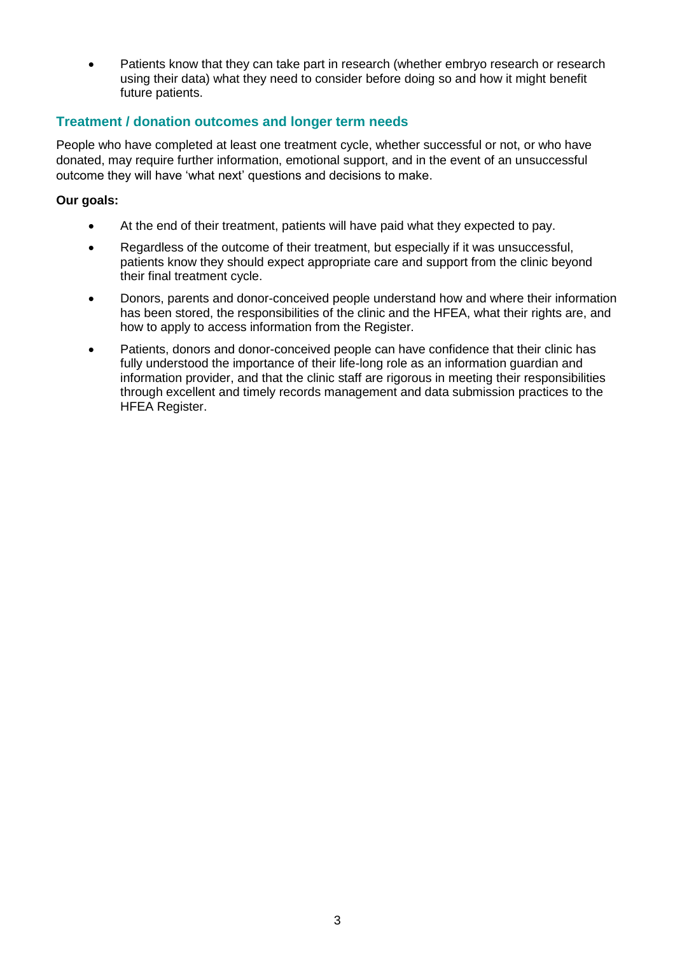Patients know that they can take part in research (whether embryo research or research using their data) what they need to consider before doing so and how it might benefit future patients.

### **Treatment / donation outcomes and longer term needs**

People who have completed at least one treatment cycle, whether successful or not, or who have donated, may require further information, emotional support, and in the event of an unsuccessful outcome they will have 'what next' questions and decisions to make.

#### **Our goals:**

- At the end of their treatment, patients will have paid what they expected to pay.
- Regardless of the outcome of their treatment, but especially if it was unsuccessful, patients know they should expect appropriate care and support from the clinic beyond their final treatment cycle.
- Donors, parents and donor-conceived people understand how and where their information has been stored, the responsibilities of the clinic and the HFEA, what their rights are, and how to apply to access information from the Register.
- Patients, donors and donor-conceived people can have confidence that their clinic has fully understood the importance of their life-long role as an information guardian and information provider, and that the clinic staff are rigorous in meeting their responsibilities through excellent and timely records management and data submission practices to the HFEA Register.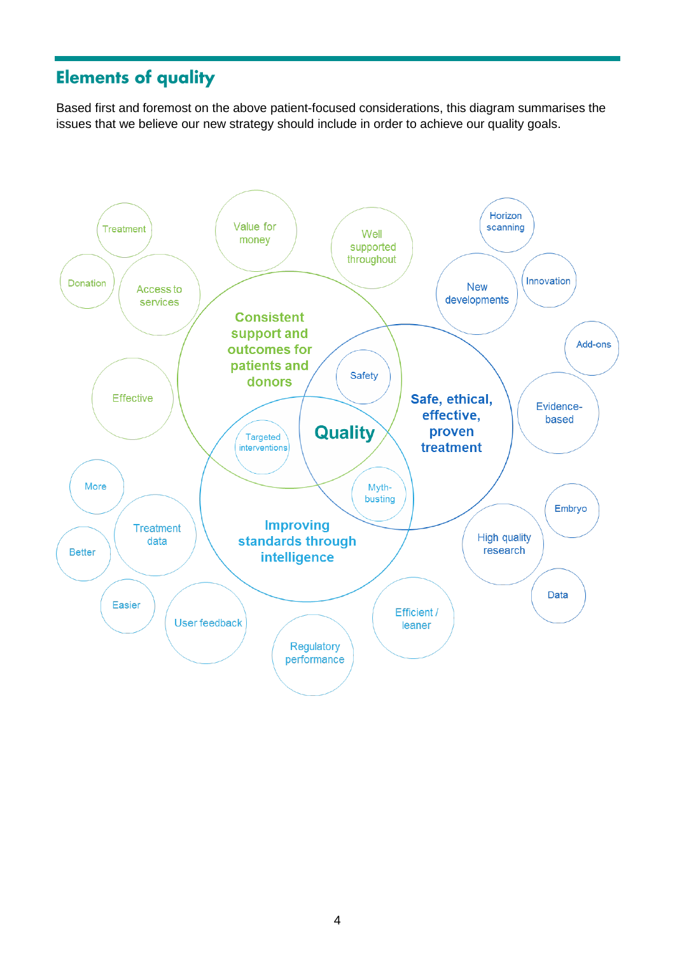## **Elements of quality**

Based first and foremost on the above patient-focused considerations, this diagram summarises the issues that we believe our new strategy should include in order to achieve our quality goals.

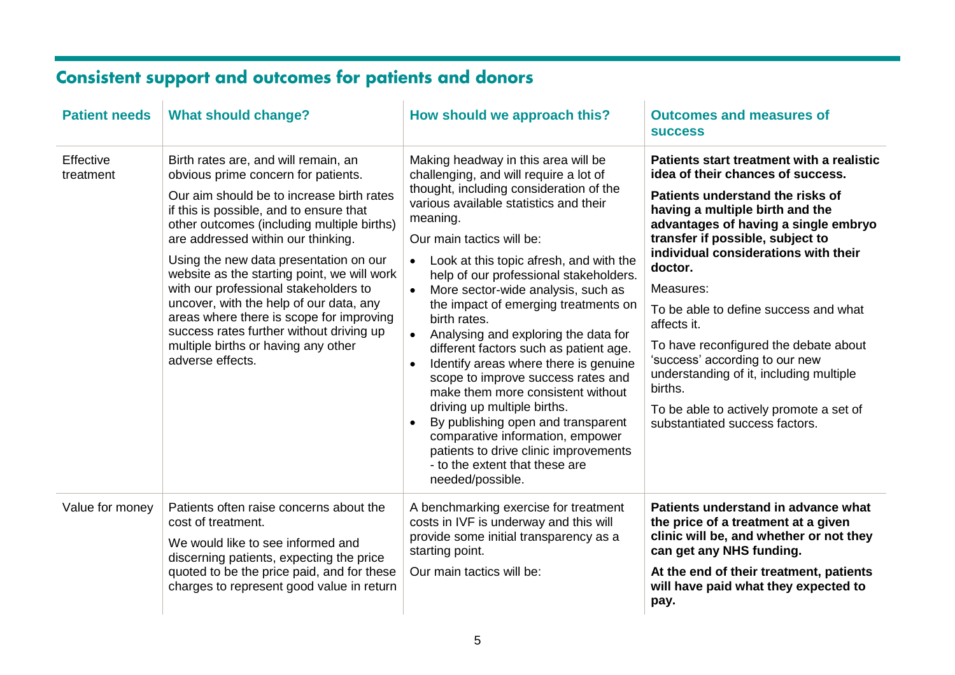# **Consistent support and outcomes for patients and donors**

| <b>Patient needs</b>   | <b>What should change?</b>                                                                                                                                                                                                                                                                                                                                                                                                                                                                                                                                                              | How should we approach this?                                                                                                                                                                                                                                                                                                                                                                                                                                                                                                                                                                                                                                                                                                                                                                                                                                                  | <b>Outcomes and measures of</b><br><b>SUCCESS</b>                                                                                                                                                                                                                                                                                                                                                                                                                                                                                                                       |
|------------------------|-----------------------------------------------------------------------------------------------------------------------------------------------------------------------------------------------------------------------------------------------------------------------------------------------------------------------------------------------------------------------------------------------------------------------------------------------------------------------------------------------------------------------------------------------------------------------------------------|-------------------------------------------------------------------------------------------------------------------------------------------------------------------------------------------------------------------------------------------------------------------------------------------------------------------------------------------------------------------------------------------------------------------------------------------------------------------------------------------------------------------------------------------------------------------------------------------------------------------------------------------------------------------------------------------------------------------------------------------------------------------------------------------------------------------------------------------------------------------------------|-------------------------------------------------------------------------------------------------------------------------------------------------------------------------------------------------------------------------------------------------------------------------------------------------------------------------------------------------------------------------------------------------------------------------------------------------------------------------------------------------------------------------------------------------------------------------|
| Effective<br>treatment | Birth rates are, and will remain, an<br>obvious prime concern for patients.<br>Our aim should be to increase birth rates<br>if this is possible, and to ensure that<br>other outcomes (including multiple births)<br>are addressed within our thinking.<br>Using the new data presentation on our<br>website as the starting point, we will work<br>with our professional stakeholders to<br>uncover, with the help of our data, any<br>areas where there is scope for improving<br>success rates further without driving up<br>multiple births or having any other<br>adverse effects. | Making headway in this area will be<br>challenging, and will require a lot of<br>thought, including consideration of the<br>various available statistics and their<br>meaning.<br>Our main tactics will be:<br>Look at this topic afresh, and with the<br>$\bullet$<br>help of our professional stakeholders.<br>More sector-wide analysis, such as<br>$\bullet$<br>the impact of emerging treatments on<br>birth rates.<br>Analysing and exploring the data for<br>$\bullet$<br>different factors such as patient age.<br>Identify areas where there is genuine<br>$\bullet$<br>scope to improve success rates and<br>make them more consistent without<br>driving up multiple births.<br>By publishing open and transparent<br>$\bullet$<br>comparative information, empower<br>patients to drive clinic improvements<br>- to the extent that these are<br>needed/possible. | Patients start treatment with a realistic<br>idea of their chances of success.<br>Patients understand the risks of<br>having a multiple birth and the<br>advantages of having a single embryo<br>transfer if possible, subject to<br>individual considerations with their<br>doctor.<br>Measures:<br>To be able to define success and what<br>affects it.<br>To have reconfigured the debate about<br>'success' according to our new<br>understanding of it, including multiple<br>births.<br>To be able to actively promote a set of<br>substantiated success factors. |
| Value for money        | Patients often raise concerns about the<br>cost of treatment.<br>We would like to see informed and<br>discerning patients, expecting the price<br>quoted to be the price paid, and for these<br>charges to represent good value in return                                                                                                                                                                                                                                                                                                                                               | A benchmarking exercise for treatment<br>costs in IVF is underway and this will<br>provide some initial transparency as a<br>starting point.<br>Our main tactics will be:                                                                                                                                                                                                                                                                                                                                                                                                                                                                                                                                                                                                                                                                                                     | Patients understand in advance what<br>the price of a treatment at a given<br>clinic will be, and whether or not they<br>can get any NHS funding.<br>At the end of their treatment, patients<br>will have paid what they expected to<br>pay.                                                                                                                                                                                                                                                                                                                            |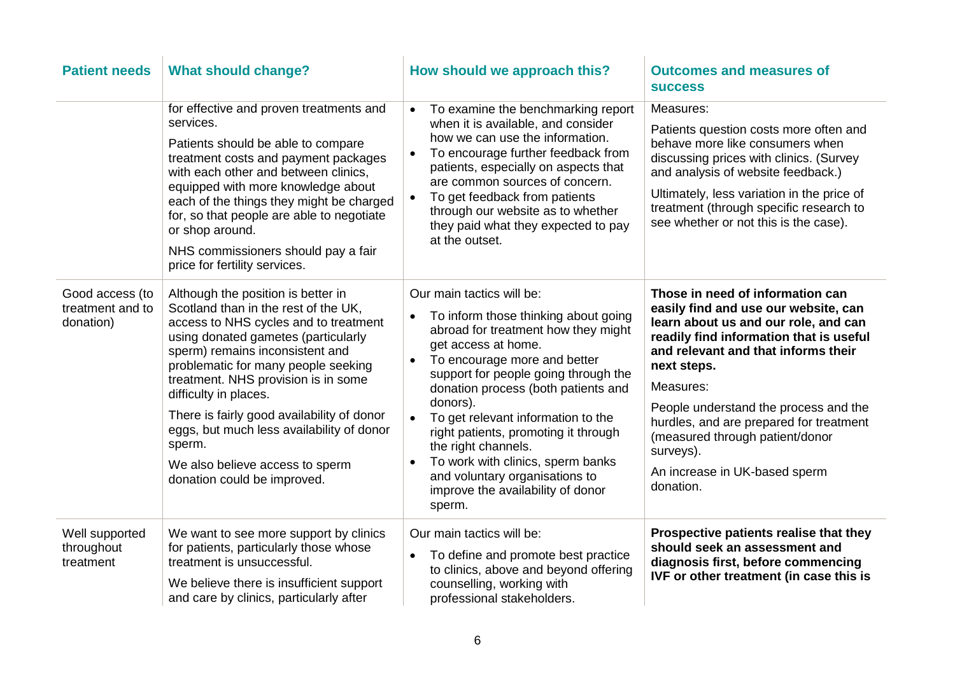| <b>Patient needs</b>                             | <b>What should change?</b>                                                                                                                                                                                                                                                                                                                                                                                                                                                  | How should we approach this?                                                                                                                                                                                                                                                                                                                                                                                                                                                                                                              | <b>Outcomes and measures of</b><br><b>SUCCESS</b>                                                                                                                                                                                                                                                                                                                                                                |
|--------------------------------------------------|-----------------------------------------------------------------------------------------------------------------------------------------------------------------------------------------------------------------------------------------------------------------------------------------------------------------------------------------------------------------------------------------------------------------------------------------------------------------------------|-------------------------------------------------------------------------------------------------------------------------------------------------------------------------------------------------------------------------------------------------------------------------------------------------------------------------------------------------------------------------------------------------------------------------------------------------------------------------------------------------------------------------------------------|------------------------------------------------------------------------------------------------------------------------------------------------------------------------------------------------------------------------------------------------------------------------------------------------------------------------------------------------------------------------------------------------------------------|
|                                                  | for effective and proven treatments and<br>services.<br>Patients should be able to compare<br>treatment costs and payment packages<br>with each other and between clinics,<br>equipped with more knowledge about<br>each of the things they might be charged<br>for, so that people are able to negotiate<br>or shop around.<br>NHS commissioners should pay a fair<br>price for fertility services.                                                                        | To examine the benchmarking report<br>$\bullet$<br>when it is available, and consider<br>how we can use the information.<br>To encourage further feedback from<br>patients, especially on aspects that<br>are common sources of concern.<br>To get feedback from patients<br>$\bullet$<br>through our website as to whether<br>they paid what they expected to pay<br>at the outset.                                                                                                                                                      | Measures:<br>Patients question costs more often and<br>behave more like consumers when<br>discussing prices with clinics. (Survey<br>and analysis of website feedback.)<br>Ultimately, less variation in the price of<br>treatment (through specific research to<br>see whether or not this is the case).                                                                                                        |
| Good access (to<br>treatment and to<br>donation) | Although the position is better in<br>Scotland than in the rest of the UK,<br>access to NHS cycles and to treatment<br>using donated gametes (particularly<br>sperm) remains inconsistent and<br>problematic for many people seeking<br>treatment. NHS provision is in some<br>difficulty in places.<br>There is fairly good availability of donor<br>eggs, but much less availability of donor<br>sperm.<br>We also believe access to sperm<br>donation could be improved. | Our main tactics will be:<br>To inform those thinking about going<br>$\bullet$<br>abroad for treatment how they might<br>get access at home.<br>To encourage more and better<br>$\bullet$<br>support for people going through the<br>donation process (both patients and<br>donors).<br>To get relevant information to the<br>$\bullet$<br>right patients, promoting it through<br>the right channels.<br>To work with clinics, sperm banks<br>$\bullet$<br>and voluntary organisations to<br>improve the availability of donor<br>sperm. | Those in need of information can<br>easily find and use our website, can<br>learn about us and our role, and can<br>readily find information that is useful<br>and relevant and that informs their<br>next steps.<br>Measures:<br>People understand the process and the<br>hurdles, and are prepared for treatment<br>(measured through patient/donor<br>surveys).<br>An increase in UK-based sperm<br>donation. |
| Well supported<br>throughout<br>treatment        | We want to see more support by clinics<br>for patients, particularly those whose<br>treatment is unsuccessful.<br>We believe there is insufficient support<br>and care by clinics, particularly after                                                                                                                                                                                                                                                                       | Our main tactics will be:<br>To define and promote best practice<br>$\bullet$<br>to clinics, above and beyond offering<br>counselling, working with<br>professional stakeholders.                                                                                                                                                                                                                                                                                                                                                         | Prospective patients realise that they<br>should seek an assessment and<br>diagnosis first, before commencing<br>IVF or other treatment (in case this is                                                                                                                                                                                                                                                         |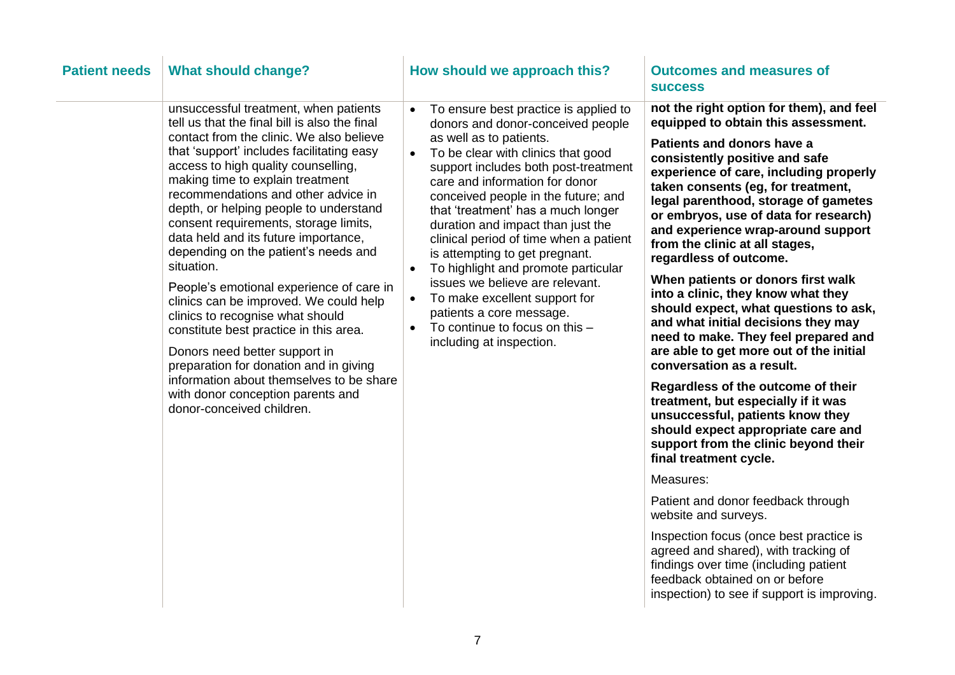| <b>Patient needs</b> | <b>What should change?</b>                                                                                                                                                                                                                                                                                                                                                                                                                                                                                                                                                                                                                                                                                                                                                                                                                      | How should we approach this?                                                                                                                                                                                                                                                                                                                                                                                                                                                                                                                                                                                                                                                              | <b>Outcomes and measures of</b><br><b>SUCCESS</b>                                                                                                                                                                                                                                                                                                                                                                                                                                                                                                                                                                                                                                                                                                                                                                                                                                                                                                                                                                                                                                                                              |
|----------------------|-------------------------------------------------------------------------------------------------------------------------------------------------------------------------------------------------------------------------------------------------------------------------------------------------------------------------------------------------------------------------------------------------------------------------------------------------------------------------------------------------------------------------------------------------------------------------------------------------------------------------------------------------------------------------------------------------------------------------------------------------------------------------------------------------------------------------------------------------|-------------------------------------------------------------------------------------------------------------------------------------------------------------------------------------------------------------------------------------------------------------------------------------------------------------------------------------------------------------------------------------------------------------------------------------------------------------------------------------------------------------------------------------------------------------------------------------------------------------------------------------------------------------------------------------------|--------------------------------------------------------------------------------------------------------------------------------------------------------------------------------------------------------------------------------------------------------------------------------------------------------------------------------------------------------------------------------------------------------------------------------------------------------------------------------------------------------------------------------------------------------------------------------------------------------------------------------------------------------------------------------------------------------------------------------------------------------------------------------------------------------------------------------------------------------------------------------------------------------------------------------------------------------------------------------------------------------------------------------------------------------------------------------------------------------------------------------|
|                      | unsuccessful treatment, when patients<br>tell us that the final bill is also the final<br>contact from the clinic. We also believe<br>that 'support' includes facilitating easy<br>access to high quality counselling,<br>making time to explain treatment<br>recommendations and other advice in<br>depth, or helping people to understand<br>consent requirements, storage limits,<br>data held and its future importance,<br>depending on the patient's needs and<br>situation.<br>People's emotional experience of care in<br>clinics can be improved. We could help<br>clinics to recognise what should<br>constitute best practice in this area.<br>Donors need better support in<br>preparation for donation and in giving<br>information about themselves to be share<br>with donor conception parents and<br>donor-conceived children. | To ensure best practice is applied to<br>$\bullet$<br>donors and donor-conceived people<br>as well as to patients.<br>To be clear with clinics that good<br>$\bullet$<br>support includes both post-treatment<br>care and information for donor<br>conceived people in the future; and<br>that 'treatment' has a much longer<br>duration and impact than just the<br>clinical period of time when a patient<br>is attempting to get pregnant.<br>To highlight and promote particular<br>$\bullet$<br>issues we believe are relevant.<br>To make excellent support for<br>$\bullet$<br>patients a core message.<br>To continue to focus on this -<br>$\bullet$<br>including at inspection. | not the right option for them), and feel<br>equipped to obtain this assessment.<br>Patients and donors have a<br>consistently positive and safe<br>experience of care, including properly<br>taken consents (eg, for treatment,<br>legal parenthood, storage of gametes<br>or embryos, use of data for research)<br>and experience wrap-around support<br>from the clinic at all stages,<br>regardless of outcome.<br>When patients or donors first walk<br>into a clinic, they know what they<br>should expect, what questions to ask,<br>and what initial decisions they may<br>need to make. They feel prepared and<br>are able to get more out of the initial<br>conversation as a result.<br>Regardless of the outcome of their<br>treatment, but especially if it was<br>unsuccessful, patients know they<br>should expect appropriate care and<br>support from the clinic beyond their<br>final treatment cycle.<br>Measures:<br>Patient and donor feedback through<br>website and surveys.<br>Inspection focus (once best practice is<br>agreed and shared), with tracking of<br>findings over time (including patient |

feedback obtained on or before

inspection) to see if support is improving.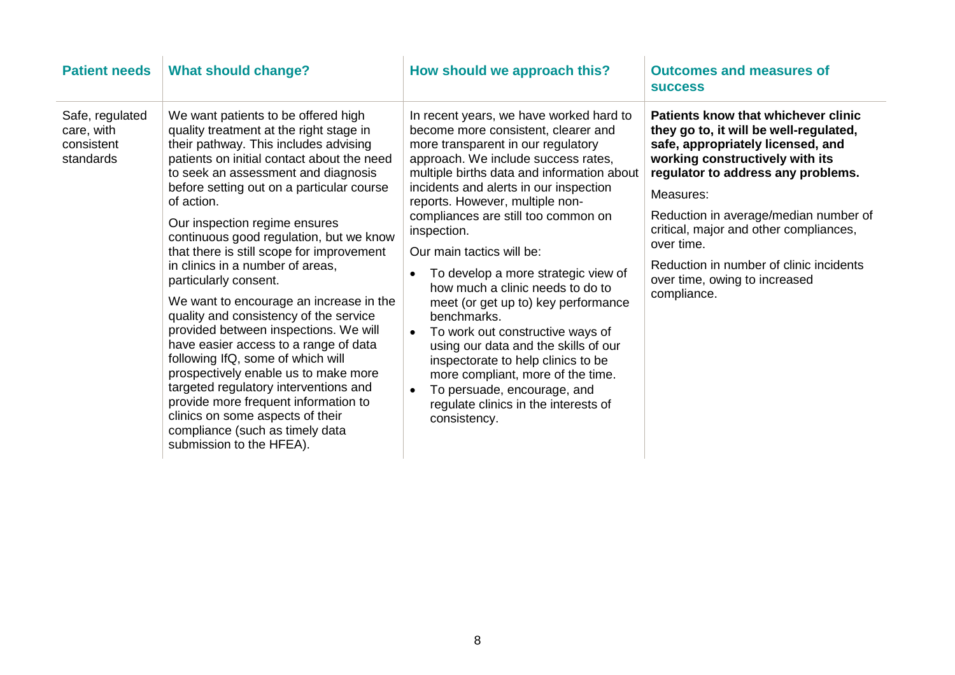| <b>Patient needs</b>                                     | <b>What should change?</b>                                                                                                                                                                                                                                                                                                                                                                                                                                                                                                                                                                                                                                                                                                                                                                                                                                                                            | How should we approach this?                                                                                                                                                                                                                                                                                                                                                                                                                                                                                                                                                                                                                                                                                                                                                       | <b>Outcomes and measures of</b><br><b>SUCCESS</b>                                                                                                                                                                                                                                                                                                                                                    |
|----------------------------------------------------------|-------------------------------------------------------------------------------------------------------------------------------------------------------------------------------------------------------------------------------------------------------------------------------------------------------------------------------------------------------------------------------------------------------------------------------------------------------------------------------------------------------------------------------------------------------------------------------------------------------------------------------------------------------------------------------------------------------------------------------------------------------------------------------------------------------------------------------------------------------------------------------------------------------|------------------------------------------------------------------------------------------------------------------------------------------------------------------------------------------------------------------------------------------------------------------------------------------------------------------------------------------------------------------------------------------------------------------------------------------------------------------------------------------------------------------------------------------------------------------------------------------------------------------------------------------------------------------------------------------------------------------------------------------------------------------------------------|------------------------------------------------------------------------------------------------------------------------------------------------------------------------------------------------------------------------------------------------------------------------------------------------------------------------------------------------------------------------------------------------------|
| Safe, regulated<br>care, with<br>consistent<br>standards | We want patients to be offered high<br>quality treatment at the right stage in<br>their pathway. This includes advising<br>patients on initial contact about the need<br>to seek an assessment and diagnosis<br>before setting out on a particular course<br>of action.<br>Our inspection regime ensures<br>continuous good regulation, but we know<br>that there is still scope for improvement<br>in clinics in a number of areas,<br>particularly consent.<br>We want to encourage an increase in the<br>quality and consistency of the service<br>provided between inspections. We will<br>have easier access to a range of data<br>following IfQ, some of which will<br>prospectively enable us to make more<br>targeted regulatory interventions and<br>provide more frequent information to<br>clinics on some aspects of their<br>compliance (such as timely data<br>submission to the HFEA). | In recent years, we have worked hard to<br>become more consistent, clearer and<br>more transparent in our regulatory<br>approach. We include success rates,<br>multiple births data and information about<br>incidents and alerts in our inspection<br>reports. However, multiple non-<br>compliances are still too common on<br>inspection.<br>Our main tactics will be:<br>To develop a more strategic view of<br>how much a clinic needs to do to<br>meet (or get up to) key performance<br>benchmarks.<br>To work out constructive ways of<br>$\bullet$<br>using our data and the skills of our<br>inspectorate to help clinics to be<br>more compliant, more of the time.<br>To persuade, encourage, and<br>$\bullet$<br>regulate clinics in the interests of<br>consistency. | Patients know that whichever clinic<br>they go to, it will be well-regulated,<br>safe, appropriately licensed, and<br>working constructively with its<br>regulator to address any problems.<br>Measures:<br>Reduction in average/median number of<br>critical, major and other compliances,<br>over time.<br>Reduction in number of clinic incidents<br>over time, owing to increased<br>compliance. |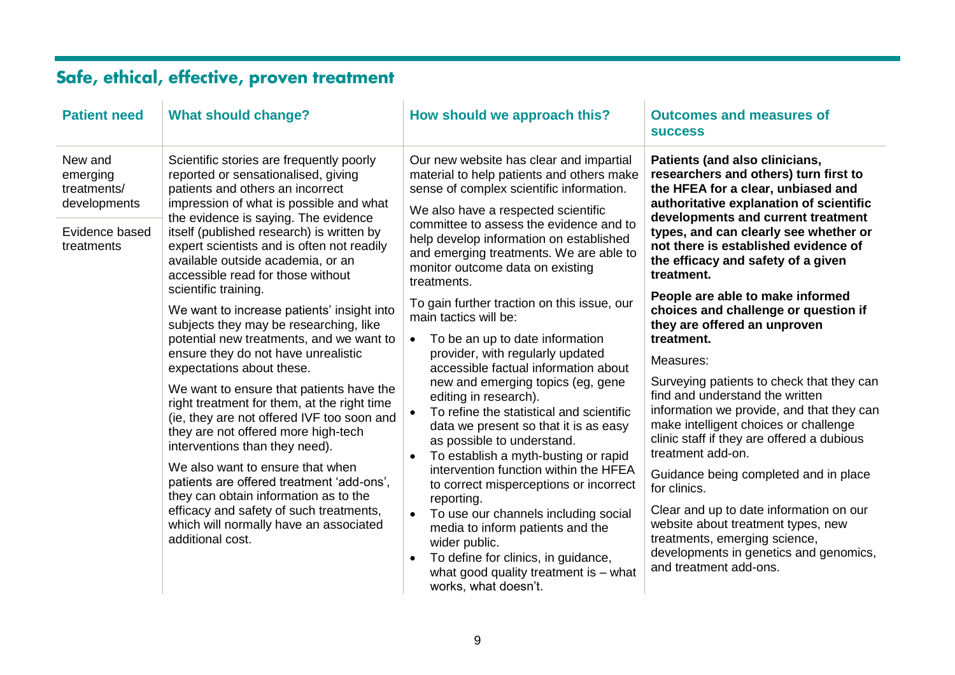## Safe, ethical, effective, proven treatment

| <b>Patient need</b>                                                                | <b>What should change?</b>                                                                                                                                                                                                                                                                                                                                                                                                                                                                                                                                                                                                                                                                                                                                                                                                                                                                                                                                                                                                                                       | How should we approach this?                                                                                                                                                                                                                                                                                                                                                                                                                                                                                                                                                                                                                                                                                                                                                                                                                                                                                                                                                                                                                                                                                                                         | <b>Outcomes and measures of</b><br><b>SUCCESS</b>                                                                                                                                                                                                                                                                                                                                                                                                                                                                                                                                                                                                                                                                                                                                                                                                                                                                                                                  |
|------------------------------------------------------------------------------------|------------------------------------------------------------------------------------------------------------------------------------------------------------------------------------------------------------------------------------------------------------------------------------------------------------------------------------------------------------------------------------------------------------------------------------------------------------------------------------------------------------------------------------------------------------------------------------------------------------------------------------------------------------------------------------------------------------------------------------------------------------------------------------------------------------------------------------------------------------------------------------------------------------------------------------------------------------------------------------------------------------------------------------------------------------------|------------------------------------------------------------------------------------------------------------------------------------------------------------------------------------------------------------------------------------------------------------------------------------------------------------------------------------------------------------------------------------------------------------------------------------------------------------------------------------------------------------------------------------------------------------------------------------------------------------------------------------------------------------------------------------------------------------------------------------------------------------------------------------------------------------------------------------------------------------------------------------------------------------------------------------------------------------------------------------------------------------------------------------------------------------------------------------------------------------------------------------------------------|--------------------------------------------------------------------------------------------------------------------------------------------------------------------------------------------------------------------------------------------------------------------------------------------------------------------------------------------------------------------------------------------------------------------------------------------------------------------------------------------------------------------------------------------------------------------------------------------------------------------------------------------------------------------------------------------------------------------------------------------------------------------------------------------------------------------------------------------------------------------------------------------------------------------------------------------------------------------|
| New and<br>emerging<br>treatments/<br>developments<br>Evidence based<br>treatments | Scientific stories are frequently poorly<br>reported or sensationalised, giving<br>patients and others an incorrect<br>impression of what is possible and what<br>the evidence is saying. The evidence<br>itself (published research) is written by<br>expert scientists and is often not readily<br>available outside academia, or an<br>accessible read for those without<br>scientific training.<br>We want to increase patients' insight into<br>subjects they may be researching, like<br>potential new treatments, and we want to<br>ensure they do not have unrealistic<br>expectations about these.<br>We want to ensure that patients have the<br>right treatment for them, at the right time<br>(ie, they are not offered IVF too soon and<br>they are not offered more high-tech<br>interventions than they need).<br>We also want to ensure that when<br>patients are offered treatment 'add-ons',<br>they can obtain information as to the<br>efficacy and safety of such treatments,<br>which will normally have an associated<br>additional cost. | Our new website has clear and impartial<br>material to help patients and others make<br>sense of complex scientific information.<br>We also have a respected scientific<br>committee to assess the evidence and to<br>help develop information on established<br>and emerging treatments. We are able to<br>monitor outcome data on existing<br>treatments.<br>To gain further traction on this issue, our<br>main tactics will be:<br>To be an up to date information<br>$\bullet$<br>provider, with regularly updated<br>accessible factual information about<br>new and emerging topics (eg, gene<br>editing in research).<br>To refine the statistical and scientific<br>$\bullet$<br>data we present so that it is as easy<br>as possible to understand.<br>To establish a myth-busting or rapid<br>$\bullet$<br>intervention function within the HFEA<br>to correct misperceptions or incorrect<br>reporting.<br>To use our channels including social<br>$\bullet$<br>media to inform patients and the<br>wider public.<br>To define for clinics, in guidance,<br>$\bullet$<br>what good quality treatment is $-$ what<br>works, what doesn't. | Patients (and also clinicians,<br>researchers and others) turn first to<br>the HFEA for a clear, unbiased and<br>authoritative explanation of scientific<br>developments and current treatment<br>types, and can clearly see whether or<br>not there is established evidence of<br>the efficacy and safety of a given<br>treatment.<br>People are able to make informed<br>choices and challenge or question if<br>they are offered an unproven<br>treatment.<br>Measures:<br>Surveying patients to check that they can<br>find and understand the written<br>information we provide, and that they can<br>make intelligent choices or challenge<br>clinic staff if they are offered a dubious<br>treatment add-on.<br>Guidance being completed and in place<br>for clinics.<br>Clear and up to date information on our<br>website about treatment types, new<br>treatments, emerging science,<br>developments in genetics and genomics,<br>and treatment add-ons. |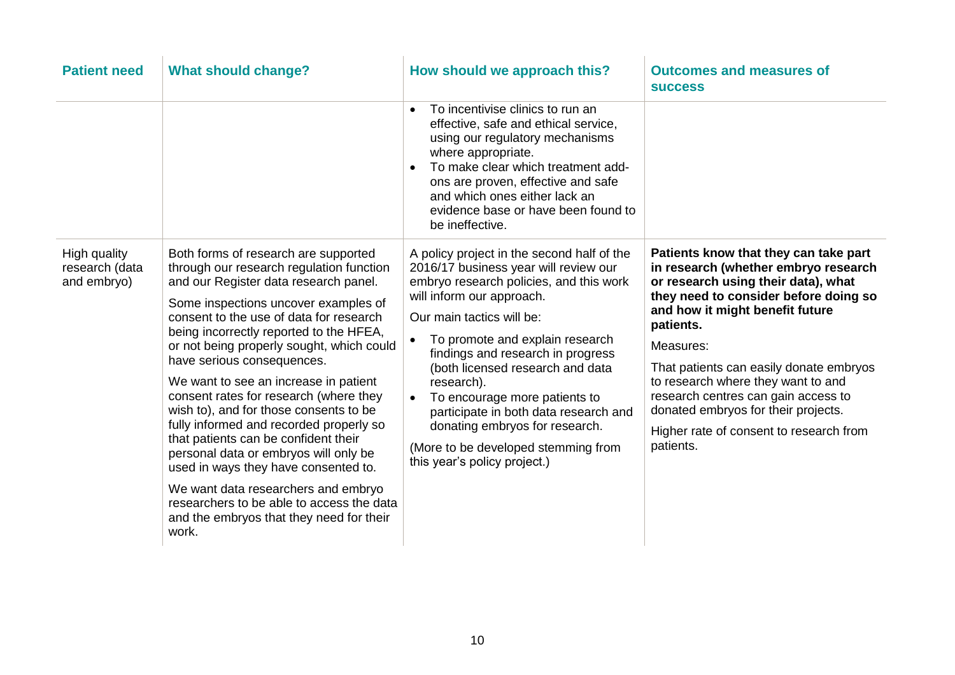| <b>Patient need</b>                           | <b>What should change?</b>                                                                                                                                                                                                                                                                                                                                                                                                                                                                                                                                                                                                                                                                                                                                                   | How should we approach this?                                                                                                                                                                                                                                                                                                                                                                                                                                                                                                    | <b>Outcomes and measures of</b><br><b>SUCCESS</b>                                                                                                                                                                                                                                                                                                                                                                                                 |
|-----------------------------------------------|------------------------------------------------------------------------------------------------------------------------------------------------------------------------------------------------------------------------------------------------------------------------------------------------------------------------------------------------------------------------------------------------------------------------------------------------------------------------------------------------------------------------------------------------------------------------------------------------------------------------------------------------------------------------------------------------------------------------------------------------------------------------------|---------------------------------------------------------------------------------------------------------------------------------------------------------------------------------------------------------------------------------------------------------------------------------------------------------------------------------------------------------------------------------------------------------------------------------------------------------------------------------------------------------------------------------|---------------------------------------------------------------------------------------------------------------------------------------------------------------------------------------------------------------------------------------------------------------------------------------------------------------------------------------------------------------------------------------------------------------------------------------------------|
|                                               |                                                                                                                                                                                                                                                                                                                                                                                                                                                                                                                                                                                                                                                                                                                                                                              | To incentivise clinics to run an<br>$\bullet$<br>effective, safe and ethical service,<br>using our regulatory mechanisms<br>where appropriate.<br>To make clear which treatment add-<br>ons are proven, effective and safe<br>and which ones either lack an<br>evidence base or have been found to<br>be ineffective.                                                                                                                                                                                                           |                                                                                                                                                                                                                                                                                                                                                                                                                                                   |
| High quality<br>research (data<br>and embryo) | Both forms of research are supported<br>through our research regulation function<br>and our Register data research panel.<br>Some inspections uncover examples of<br>consent to the use of data for research<br>being incorrectly reported to the HFEA,<br>or not being properly sought, which could<br>have serious consequences.<br>We want to see an increase in patient<br>consent rates for research (where they<br>wish to), and for those consents to be<br>fully informed and recorded properly so<br>that patients can be confident their<br>personal data or embryos will only be<br>used in ways they have consented to.<br>We want data researchers and embryo<br>researchers to be able to access the data<br>and the embryos that they need for their<br>work. | A policy project in the second half of the<br>2016/17 business year will review our<br>embryo research policies, and this work<br>will inform our approach.<br>Our main tactics will be:<br>To promote and explain research<br>$\bullet$<br>findings and research in progress<br>(both licensed research and data<br>research).<br>To encourage more patients to<br>$\bullet$<br>participate in both data research and<br>donating embryos for research.<br>(More to be developed stemming from<br>this year's policy project.) | Patients know that they can take part<br>in research (whether embryo research<br>or research using their data), what<br>they need to consider before doing so<br>and how it might benefit future<br>patients.<br>Measures:<br>That patients can easily donate embryos<br>to research where they want to and<br>research centres can gain access to<br>donated embryos for their projects.<br>Higher rate of consent to research from<br>patients. |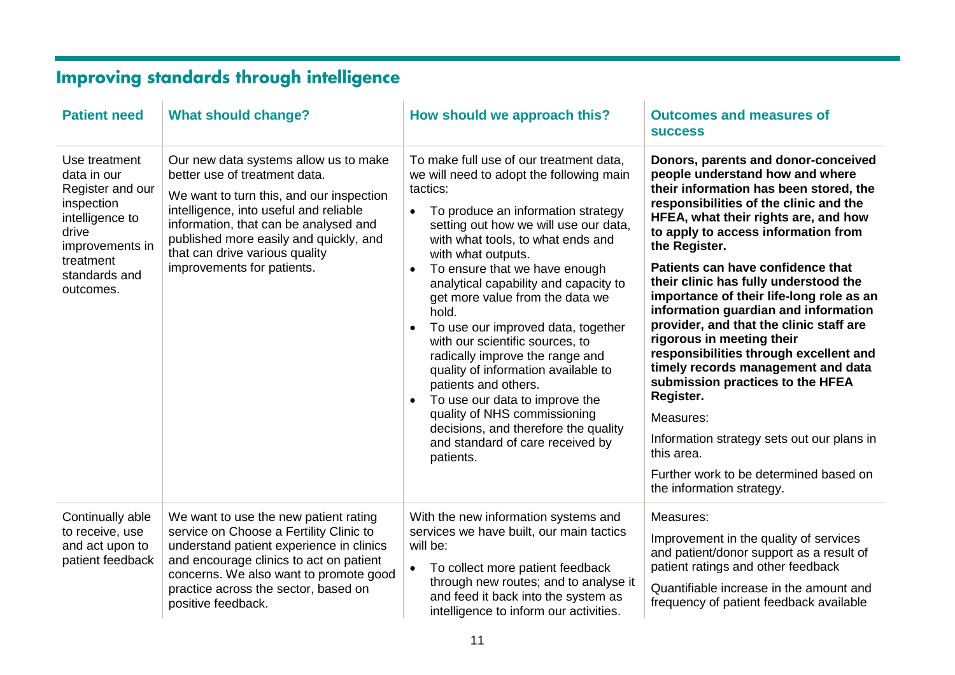# Improving standards through intelligence

| <b>Patient need</b>                                                                                                                                      | <b>What should change?</b>                                                                                                                                                                                                                                                                                      | How should we approach this?                                                                                                                                                                                                                                                                                                                                                                                                                                                                                                                                                                                                                                                                                                                              | <b>Outcomes and measures of</b><br><b>SUCCESS</b>                                                                                                                                                                                                                                                                                                                                                                                                                                                                                                                                                                                                                                                                                                                                     |
|----------------------------------------------------------------------------------------------------------------------------------------------------------|-----------------------------------------------------------------------------------------------------------------------------------------------------------------------------------------------------------------------------------------------------------------------------------------------------------------|-----------------------------------------------------------------------------------------------------------------------------------------------------------------------------------------------------------------------------------------------------------------------------------------------------------------------------------------------------------------------------------------------------------------------------------------------------------------------------------------------------------------------------------------------------------------------------------------------------------------------------------------------------------------------------------------------------------------------------------------------------------|---------------------------------------------------------------------------------------------------------------------------------------------------------------------------------------------------------------------------------------------------------------------------------------------------------------------------------------------------------------------------------------------------------------------------------------------------------------------------------------------------------------------------------------------------------------------------------------------------------------------------------------------------------------------------------------------------------------------------------------------------------------------------------------|
| Use treatment<br>data in our<br>Register and our<br>inspection<br>intelligence to<br>drive<br>improvements in<br>treatment<br>standards and<br>outcomes. | Our new data systems allow us to make<br>better use of treatment data.<br>We want to turn this, and our inspection<br>intelligence, into useful and reliable<br>information, that can be analysed and<br>published more easily and quickly, and<br>that can drive various quality<br>improvements for patients. | To make full use of our treatment data,<br>we will need to adopt the following main<br>tactics:<br>To produce an information strategy<br>$\bullet$<br>setting out how we will use our data,<br>with what tools, to what ends and<br>with what outputs.<br>To ensure that we have enough<br>$\bullet$<br>analytical capability and capacity to<br>get more value from the data we<br>hold.<br>To use our improved data, together<br>$\bullet$<br>with our scientific sources, to<br>radically improve the range and<br>quality of information available to<br>patients and others.<br>To use our data to improve the<br>$\bullet$<br>quality of NHS commissioning<br>decisions, and therefore the quality<br>and standard of care received by<br>patients. | Donors, parents and donor-conceived<br>people understand how and where<br>their information has been stored, the<br>responsibilities of the clinic and the<br>HFEA, what their rights are, and how<br>to apply to access information from<br>the Register.<br>Patients can have confidence that<br>their clinic has fully understood the<br>importance of their life-long role as an<br>information guardian and information<br>provider, and that the clinic staff are<br>rigorous in meeting their<br>responsibilities through excellent and<br>timely records management and data<br>submission practices to the HFEA<br>Register.<br>Measures:<br>Information strategy sets out our plans in<br>this area.<br>Further work to be determined based on<br>the information strategy. |
| Continually able<br>to receive, use<br>and act upon to<br>patient feedback                                                                               | We want to use the new patient rating<br>service on Choose a Fertility Clinic to<br>understand patient experience in clinics<br>and encourage clinics to act on patient<br>concerns. We also want to promote good<br>practice across the sector, based on<br>positive feedback.                                 | With the new information systems and<br>services we have built, our main tactics<br>will be:<br>To collect more patient feedback<br>$\bullet$<br>through new routes; and to analyse it<br>and feed it back into the system as<br>intelligence to inform our activities.                                                                                                                                                                                                                                                                                                                                                                                                                                                                                   | Measures:<br>Improvement in the quality of services<br>and patient/donor support as a result of<br>patient ratings and other feedback<br>Quantifiable increase in the amount and<br>frequency of patient feedback available                                                                                                                                                                                                                                                                                                                                                                                                                                                                                                                                                           |